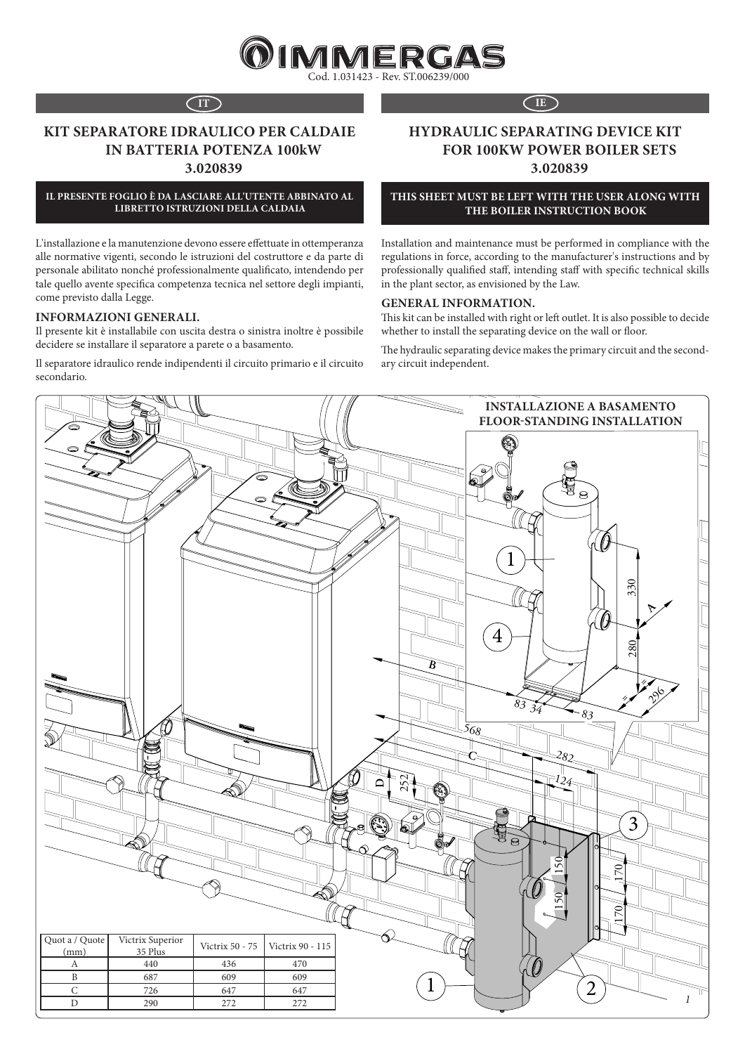

# **KIT SEPARATORE IDRAULICO PER CALDAIE IN BATTERIA POTENZA 100kW 3.020839**

**IL PRESENTE FOGLIO È DA LASCIARE ALL'UTENTE ABBINATO AL LIBRETTO ISTRUZIONI DELLA CALDAIA**

L'installazione e la manutenzione devono essere effettuate in ottemperanza alle normative vigenti, secondo le istruzioni del costruttore e da parte di personale abilitato nonché professionalmente qualificato, intendendo per tale quello avente specifica competenza tecnica nel settore degli impianti, come previsto dalla Legge.

#### **INFORMAZIONI GENERALI.**

Il presente kit è installabile con uscita destra o sinistra inoltre è possibile decidere se installare il separatore a parete o a basamento.

Il separatore idraulico rende indipendenti il circuito primario e il circuito secondario.

### **IT IE**

# **HYDRAULIC SEPARATING DEVICE KIT FOR 100KW POWER BOILER SETS 3.020839**

#### **THIS SHEET MUST BE LEFT WITH THE USER ALONG WITH THE BOILER INSTRUCTION BOOK**

Installation and maintenance must be performed in compliance with the regulations in force, according to the manufacturer's instructions and by professionally qualified staff, intending staff with specific technical skills in the plant sector, as envisioned by the Law.

#### **GENERAL INFORMATION.**

This kit can be installed with right or left outlet. It is also possible to decide whether to install the separating device on the wall or floor.

The hydraulic separating device makes the primary circuit and the secondary circuit independent.

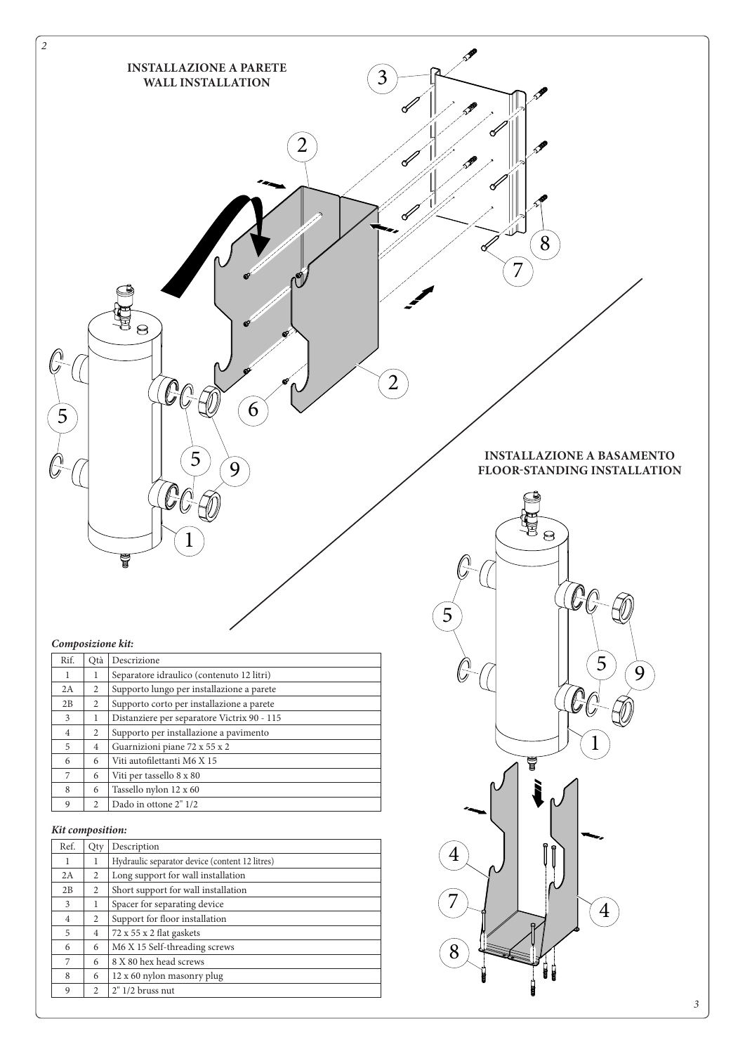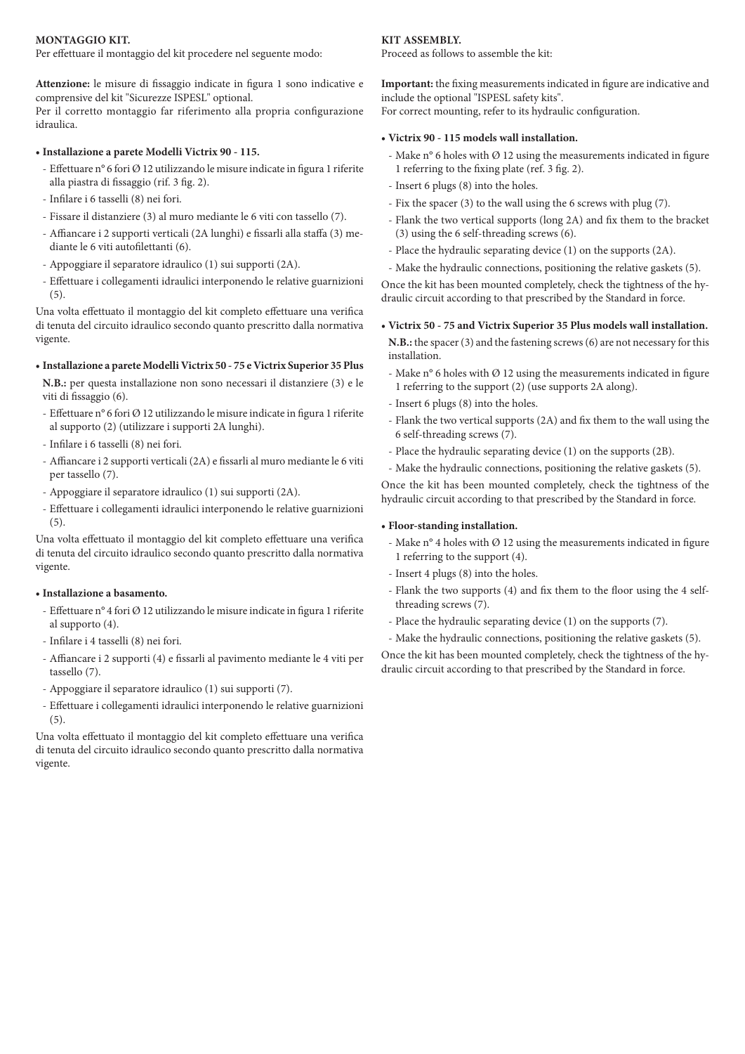#### **MONTAGGIO KIT.**

Per effettuare il montaggio del kit procedere nel seguente modo:

**Attenzione:** le misure di fissaggio indicate in figura 1 sono indicative e comprensive del kit "Sicurezze ISPESL" optional.

Per il corretto montaggio far riferimento alla propria configurazione idraulica.

## **• Installazione a parete Modelli Victrix 90 - 115.**

- Effettuare n° 6 fori Ø 12 utilizzando le misure indicate in figura 1 riferite alla piastra di fissaggio (rif. 3 fig. 2).
- Infilare i 6 tasselli (8) nei fori.
- Fissare il distanziere (3) al muro mediante le 6 viti con tassello (7).
- Affiancare i 2 supporti verticali (2A lunghi) e fissarli alla staffa (3) mediante le 6 viti autofilettanti (6).
- Appoggiare il separatore idraulico (1) sui supporti (2A).
- Effettuare i collegamenti idraulici interponendo le relative guarnizioni (5).

Una volta effettuato il montaggio del kit completo effettuare una verifica di tenuta del circuito idraulico secondo quanto prescritto dalla normativa vigente.

### **• Installazione a parete Modelli Victrix 50 - 75 e Victrix Superior 35 Plus**

**N.B.:** per questa installazione non sono necessari il distanziere (3) e le viti di fissaggio (6).

- Effettuare n° 6 fori Ø 12 utilizzando le misure indicate in figura 1 riferite al supporto (2) (utilizzare i supporti 2A lunghi).
- Infilare i 6 tasselli (8) nei fori.
- Affiancare i 2 supporti verticali (2A) e fissarli al muro mediante le 6 viti per tassello (7).
- Appoggiare il separatore idraulico (1) sui supporti (2A).
- Effettuare i collegamenti idraulici interponendo le relative guarnizioni (5).

Una volta effettuato il montaggio del kit completo effettuare una verifica di tenuta del circuito idraulico secondo quanto prescritto dalla normativa vigente.

### **• Installazione a basamento.**

- Effettuare n° 4 fori Ø 12 utilizzando le misure indicate in figura 1 riferite al supporto (4).
- Infilare i 4 tasselli (8) nei fori.
- Affiancare i 2 supporti (4) e fissarli al pavimento mediante le 4 viti per tassello (7).
- Appoggiare il separatore idraulico (1) sui supporti (7).
- Effettuare i collegamenti idraulici interponendo le relative guarnizioni (5).

Una volta effettuato il montaggio del kit completo effettuare una verifica di tenuta del circuito idraulico secondo quanto prescritto dalla normativa vigente.

## **KIT ASSEMBLY.**

Proceed as follows to assemble the kit:

**Important:** the fixing measurements indicated in figure are indicative and include the optional "ISPESL safety kits". For correct mounting, refer to its hydraulic configuration.

## **• Victrix 90 - 115 models wall installation.**

- Make  $n^{\circ}$  6 holes with  $\varnothing$  12 using the measurements indicated in figure 1 referring to the fixing plate (ref. 3 fig. 2).
- Insert 6 plugs (8) into the holes.
- Fix the spacer (3) to the wall using the 6 screws with plug (7).
- Flank the two vertical supports (long 2A) and fix them to the bracket (3) using the 6 self-threading screws (6).
- Place the hydraulic separating device (1) on the supports (2A).
- Make the hydraulic connections, positioning the relative gaskets (5).

Once the kit has been mounted completely, check the tightness of the hydraulic circuit according to that prescribed by the Standard in force.

## **• Victrix 50 - 75 and Victrix Superior 35 Plus models wall installation.**

**N.B.:** the spacer (3) and the fastening screws (6) are not necessary for this installation.

- Make n° 6 holes with Ø 12 using the measurements indicated in figure 1 referring to the support (2) (use supports 2A along).
- Insert 6 plugs (8) into the holes.
- Flank the two vertical supports (2A) and fix them to the wall using the 6 self-threading screws (7).
- Place the hydraulic separating device (1) on the supports (2B).
- Make the hydraulic connections, positioning the relative gaskets (5).

Once the kit has been mounted completely, check the tightness of the hydraulic circuit according to that prescribed by the Standard in force.

## **• Floor-standing installation.**

- Make  $n^{\circ}$  4 holes with  $\varnothing$  12 using the measurements indicated in figure 1 referring to the support (4).
- Insert 4 plugs (8) into the holes.
- Flank the two supports (4) and fix them to the floor using the 4 selfthreading screws (7).
- Place the hydraulic separating device (1) on the supports (7).
- Make the hydraulic connections, positioning the relative gaskets (5).

Once the kit has been mounted completely, check the tightness of the hydraulic circuit according to that prescribed by the Standard in force.